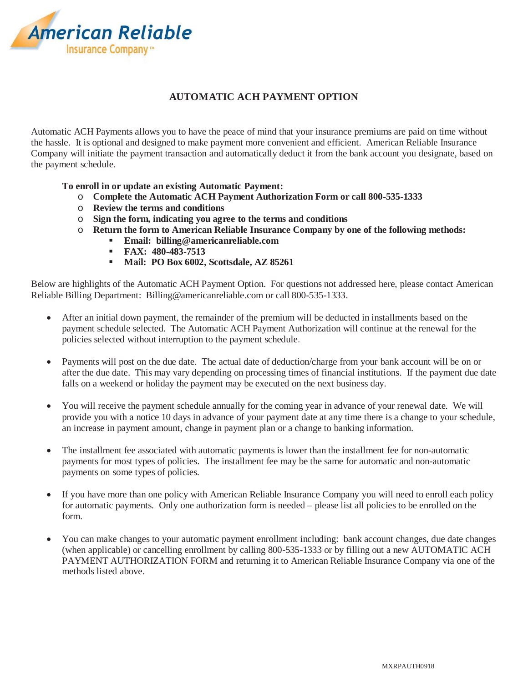

## **AUTOMATIC ACH PAYMENT OPTION**

Automatic ACH Payments allows you to have the peace of mind that your insurance premiums are paid on time without the hassle. It is optional and designed to make payment more convenient and efficient. American Reliable Insurance Company will initiate the payment transaction and automatically deduct it from the bank account you designate, based on the payment schedule.

## **To enroll in or update an existing Automatic Payment:**

- o **Complete the Automatic ACH Payment Authorization Form or call 800-535-1333**
- o **Review the terms and conditions**
- o **Sign the form, indicating you agree to the terms and conditions**
- o **Return the form to American Reliable Insurance Company by one of the following methods:** 
	- **Email: billing@americanreliable.com**
	- **FAX: 480-483-7513**
	- **Mail: PO Box 6002, Scottsdale, AZ 85261**

Below are highlights of the Automatic ACH Payment Option. For questions not addressed here, please contact American Reliable Billing Department: Billing@americanreliable.com or call 800-535-1333.

- x After an initial down payment, the remainder of the premium will be deducted in installments based on the payment schedule selected. The Automatic ACH Payment Authorization will continue at the renewal for the policies selected without interruption to the payment schedule.
- Payments will post on the due date. The actual date of deduction/charge from your bank account will be on or after the due date. This may vary depending on processing times of financial institutions. If the payment due date falls on a weekend or holiday the payment may be executed on the next business day.
- You will receive the payment schedule annually for the coming year in advance of your renewal date. We will provide you with a notice 10 days in advance of your payment date at any time there is a change to your schedule, an increase in payment amount, change in payment plan or a change to banking information.
- The installment fee associated with automatic payments is lower than the installment fee for non-automatic payments for most types of policies. The installment fee may be the same for automatic and non-automatic payments on some types of policies.
- If you have more than one policy with American Reliable Insurance Company you will need to enroll each policy for automatic payments. Only one authorization form is needed – please list all policies to be enrolled on the form.
- x You can make changes to your automatic payment enrollment including: bank account changes, due date changes (when applicable) or cancelling enrollment by calling 800-535-1333 or by filling out a new AUTOMATIC ACH PAYMENT AUTHORIZATION FORM and returning it to American Reliable Insurance Company via one of the methods listed above.